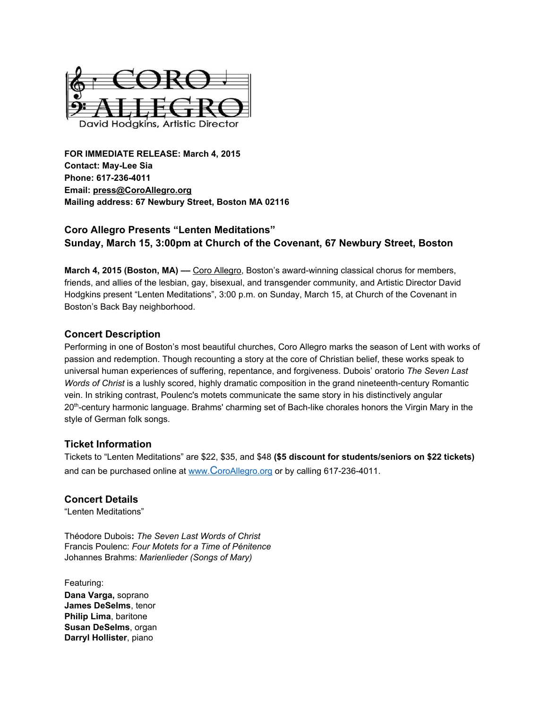

**FOR IMMEDIATE RELEASE: March4, 2015 Contact: MayLee Sia Phone: 6172364011 Email: [press@CoroAllegro.org](http://h/) Mailing address: 67 Newbury Street, Boston MA 02116**

# **Coro Allegro Presents "Lenten Meditations" Sunday, March 15, 3:00pm at Church of the Covenant, 67 Newbury Street, Boston**

**March 4, 2015 (Boston, MA) — Coro [Allegro,](http://h/) Boston's award-winning classical chorus for members,** friends, and allies of the lesbian, gay, bisexual, and transgender community, and Artistic Director David Hodgkins present "Lenten Meditations", 3:00 p.m. on Sunday, March 15, at Church of the Covenant in Boston's Back Bay neighborhood.

## **Concert Description**

Performing in one of Boston's most beautiful churches, Coro Allegro marks the season of Lent with works of passion and redemption. Though recounting a story at the core of Christian belief, these works speak to universal human experiences of suffering, repentance, and forgiveness. Dubois' oratorio *The Seven Last Words* of *Christ* is a lushly scored, highly dramatic composition in the grand nineteenth-century Romantic vein. In striking contrast, Poulenc's motets communicate the same story in his distinctively angular 20<sup>th</sup>-century harmonic language. Brahms' charming set of Bach-like chorales honors the Virgin Mary in the style of German folk songs.

## **Ticket Information**

Tickets to "Lenten Meditations" are \$22, \$35, and \$48 **(\$5 discount for students/seniors on \$22 tickets)** and can be purchased online at [www.](http://www.coroallegro.org/) [C](http://www.coroallegro.org/)[oroAllegro.org](http://www.coroallegro.org/) or by calling 617-236-4011.

## **Concert Details**

"Lenten Meditations"

Théodore Dubois**:***The Seven Last Words of Christ* Francis Poulenc: *Four Motets for a Time of Pénitence* Johannes Brahms: *Marienlieder (Songs of Mary)*

Featuring: **Dana Varga,** soprano **JamesDeSelms**, tenor **Philip Lima**, baritone **Susan DeSelms**, organ **Darryl Hollister**, piano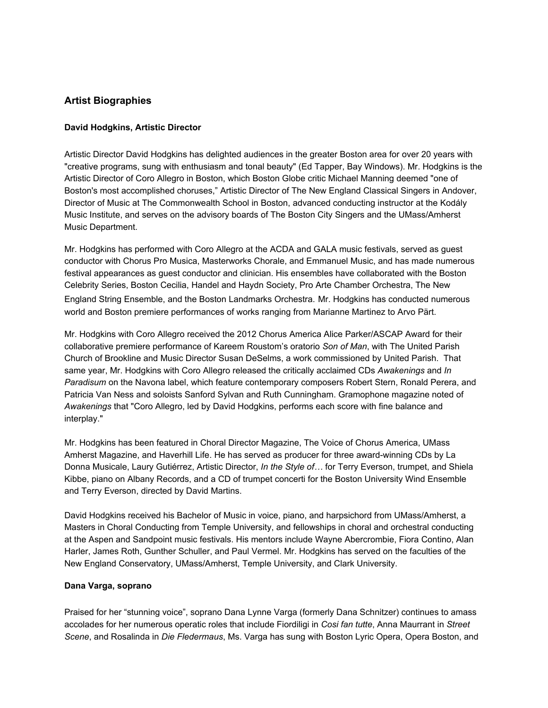## **Artist Biographies**

#### **David Hodgkins, Artistic Director**

Artistic Director David Hodgkins has delighted audiences in the greater Boston area for over 20 years with "creative programs, sung with enthusiasm and tonal beauty" (Ed Tapper, Bay Windows). Mr. Hodgkins is the Artistic Director of Coro Allegro in Boston, which Boston Globe critic Michael Manning deemed "one of Boston's most accomplished choruses," Artistic Director of The New England Classical Singers in Andover, Director of Music at The Commonwealth School in Boston, advanced conducting instructor at the Kodály Music Institute, and serves on the advisory boards of The Boston City Singers and the UMass/Amherst Music Department.

Mr. Hodgkins has performed with Coro Allegro at the ACDA and GALA music festivals, served as guest conductor with Chorus Pro Musica, Masterworks Chorale, and Emmanuel Music, and has made numerous festival appearances as guest conductor and clinician. His ensembles have collaborated with the Boston Celebrity Series, Boston Cecilia, Handel and Haydn Society, Pro Arte Chamber Orchestra, The New England String Ensemble, and the Boston Landmarks Orchestra. Mr. Hodgkins has conducted numerous world and Boston premiere performances of works ranging from Marianne Martinez to Arvo Pärt.

Mr. Hodgkins with Coro Allegro received the 2012 Chorus America Alice Parker/ASCAP Award for their collaborative premiere performance of Kareem Roustom's oratorio *Son of Man*, with The United Parish Church of Brookline and Music Director Susan DeSelms, a work commissioned by United Parish. That same year, Mr. Hodgkins with Coro Allegro released the critically acclaimed CDs *Awakenings* and *In Paradisum* on the Navona label, which feature contemporary composers Robert Stern, Ronald Perera, and Patricia Van Ness and soloists Sanford Sylvan and Ruth Cunningham. Gramophone magazine noted of *Awakenings* that "Coro Allegro, led by David Hodgkins, performs each score with fine balance and interplay."

Mr. Hodgkins has been featured in Choral Director Magazine, The Voice of Chorus America, UMass Amherst Magazine, and Haverhill Life. He has served as producer for three award-winning CDs by La Donna Musicale, Laury Gutiérrez, Artistic Director, *In the Style of…* for Terry Everson, trumpet, and Shiela Kibbe, piano on Albany Records, and a CD of trumpet concerti for the Boston University Wind Ensemble and Terry Everson, directed by David Martins.

David Hodgkins received his Bachelor of Music in voice, piano, and harpsichord from UMass/Amherst, a Masters in Choral Conducting from Temple University, and fellowships in choral and orchestral conducting at the Aspen and Sandpoint music festivals. His mentors include Wayne Abercrombie, Fiora Contino, Alan Harler, James Roth, Gunther Schuller, and Paul Vermel. Mr. Hodgkins has served on the faculties of the New England Conservatory, UMass/Amherst, Temple University, and Clark University.

#### **Dana Varga, soprano**

Praised for her "stunning voice", soprano Dana Lynne Varga (formerly Dana Schnitzer) continues to amass accolades for her numerous operatic roles that include Fiordiligi in *Cosi fan tutte*, Anna Maurrant in *Street Scene*, and Rosalinda in *Die Fledermaus*, Ms. Varga has sung with Boston Lyric Opera, Opera Boston, and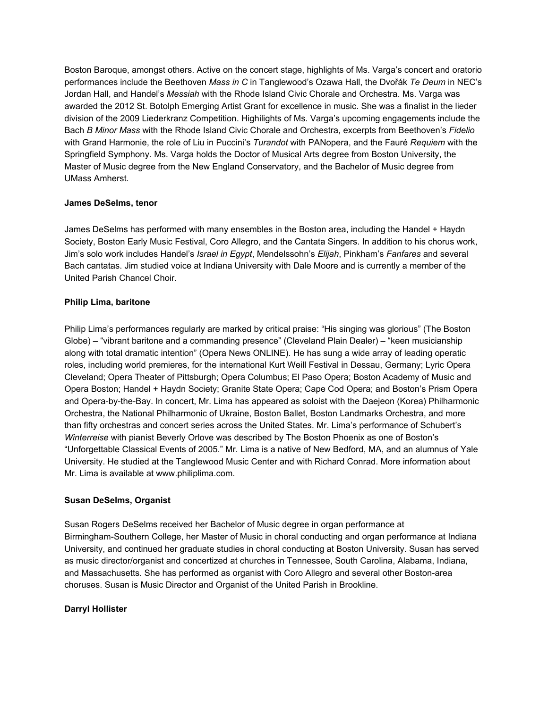Boston Baroque, amongst others. Active on the concert stage, highlights of Ms. Varga's concert and oratorio performances include the Beethoven *Mass in C* in Tanglewood's Ozawa Hall, the Dvořák *Te Deum* in NEC's Jordan Hall, and Handel's *Messiah* with the Rhode Island Civic Chorale and Orchestra. Ms. Varga was awarded the 2012 St. Botolph Emerging Artist Grant for excellence in music. She was a finalist in the lieder division of the 2009 Liederkranz Competition. Highilights of Ms. Varga's upcoming engagements include the Bach *B Minor Mass* with the Rhode Island Civic Chorale and Orchestra, excerpts from Beethoven's *Fidelio* with Grand Harmonie, the role of Liu in Puccini's *Turandot* with PANopera, and the Fauré *Requiem* with the Springfield Symphony. Ms. Varga holds the Doctor of Musical Arts degree from Boston University, the Master of Music degree from the New England Conservatory, and the Bachelor of Music degree from UMass Amherst.

### **James DeSelms, tenor**

James DeSelms has performed with many ensembles in the Boston area, including the Handel + Haydn Society, Boston Early Music Festival, Coro Allegro, and the Cantata Singers. In addition to his chorus work, Jim's solo work includes Handel's *Israel in Egypt*, Mendelssohn's *Elijah*, Pinkham's *Fanfares* and several Bach cantatas. Jim studied voice at Indiana University with Dale Moore and is currently a member of the United Parish Chancel Choir.

### **Philip Lima, baritone**

Philip Lima's performances regularly are marked by critical praise: "His singing was glorious" (The Boston Globe) – "vibrant baritone and a commanding presence" (Cleveland Plain Dealer) – "keen musicianship along with total dramatic intention" (Opera News ONLINE). He has sung a wide array of leading operatic roles, including world premieres, for the international Kurt Weill Festival in Dessau, Germany; Lyric Opera Cleveland; Opera Theater of Pittsburgh; Opera Columbus; El Paso Opera; Boston Academy of Music and Opera Boston; Handel + Haydn Society; Granite State Opera; Cape Cod Opera; and Boston's Prism Opera and Opera-by-the-Bay. In concert, Mr. Lima has appeared as soloist with the Daejeon (Korea) Philharmonic Orchestra, the National Philharmonic of Ukraine, Boston Ballet, Boston Landmarks Orchestra, and more than fifty orchestras and concert series across the United States. Mr. Lima's performance of Schubert's *Winterreise* with pianist Beverly Orlove was described by The Boston Phoenix as one of Boston's "Unforgettable Classical Events of 2005." Mr. Lima is a native of New Bedford, MA, and an alumnus of Yale University. He studied at the Tanglewood Music Center and with Richard Conrad. More information about Mr. Lima is available at www.philiplima.com.

## **Susan DeSelms, Organist**

Susan Rogers DeSelms received her Bachelor of Music degree in organ performance at Birmingham-Southern College, her Master of Music in choral conducting and organ performance at Indiana University, and continued her graduate studies in choral conducting at Boston University. Susan has served as music director/organist and concertized at churches in Tennessee, South Carolina, Alabama, Indiana, and Massachusetts. She has performed as organist with Coro Allegro and several other Boston-area choruses. Susan is Music Director and Organist of the United Parish in Brookline.

### **Darryl Hollister**